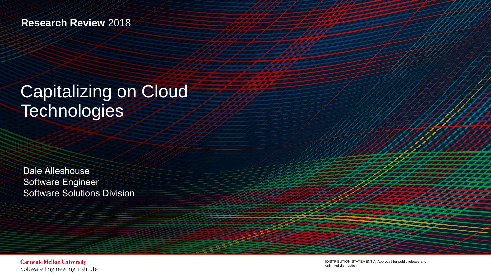### **Research Review** 2018

## Capitalizing on Cloud **Technologies**

Dale Alleshouse Software Engineer Software Solutions Division

**Carnegie Mellon University** Software Engineering Institute

[DISTRIBUTION STATEMENT A] Approved for public release and unlimited distribution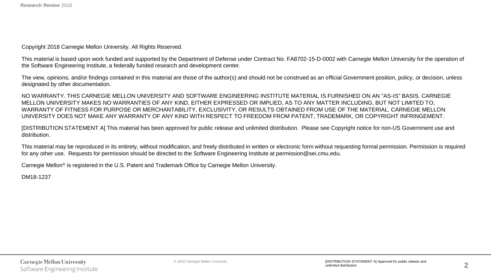Copyright 2018 Carnegie Mellon University. All Rights Reserved.

This material is based upon work funded and supported by the Department of Defense under Contract No. FA8702-15-D-0002 with Carnegie Mellon University for the operation of the Software Engineering Institute, a federally funded research and development center.

The view, opinions, and/or findings contained in this material are those of the author(s) and should not be construed as an official Government position, policy, or decision, unless designated by other documentation.

NO WARRANTY. THIS CARNEGIE MELLON UNIVERSITY AND SOFTWARE ENGINEERING INSTITUTE MATERIAL IS FURNISHED ON AN "AS-IS" BASIS. CARNEGIE MELLON UNIVERSITY MAKES NO WARRANTIES OF ANY KIND, EITHER EXPRESSED OR IMPLIED, AS TO ANY MATTER INCLUDING, BUT NOT LIMITED TO, WARRANTY OF FITNESS FOR PURPOSE OR MERCHANTABILITY, EXCLUSIVITY, OR RESULTS OBTAINED FROM USE OF THE MATERIAL. CARNEGIE MELLON UNIVERSITY DOES NOT MAKE ANY WARRANTY OF ANY KIND WITH RESPECT TO FREEDOM FROM PATENT, TRADEMARK, OR COPYRIGHT INFRINGEMENT.

[DISTRIBUTION STATEMENT A] This material has been approved for public release and unlimited distribution. Please see Copyright notice for non-US Government use and distribution.

This material may be reproduced in its entirety, without modification, and freely distributed in written or electronic form without requesting formal permission. Permission is required for any other use. Requests for permission should be directed to the Software Engineering Institute at permission@sei.cmu.edu.

Carnegie Mellon® is registered in the U.S. Patent and Trademark Office by Carnegie Mellon University.

DM18-1237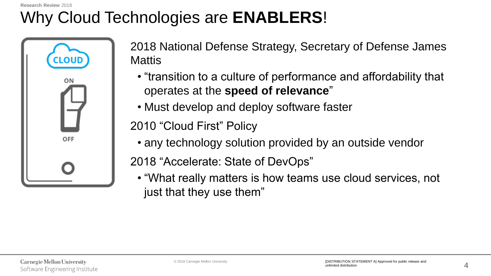#### **Research Review** 2018

# Why Cloud Technologies are **ENABLERS**!



2018 National Defense Strategy, Secretary of Defense James Mattis

- "transition to a culture of performance and affordability that operates at the **speed of relevance**"
- Must develop and deploy software faster

2010 "Cloud First" Policy

• any technology solution provided by an outside vendor

2018 "Accelerate: State of DevOps"

• "What really matters is how teams use cloud services, not just that they use them"